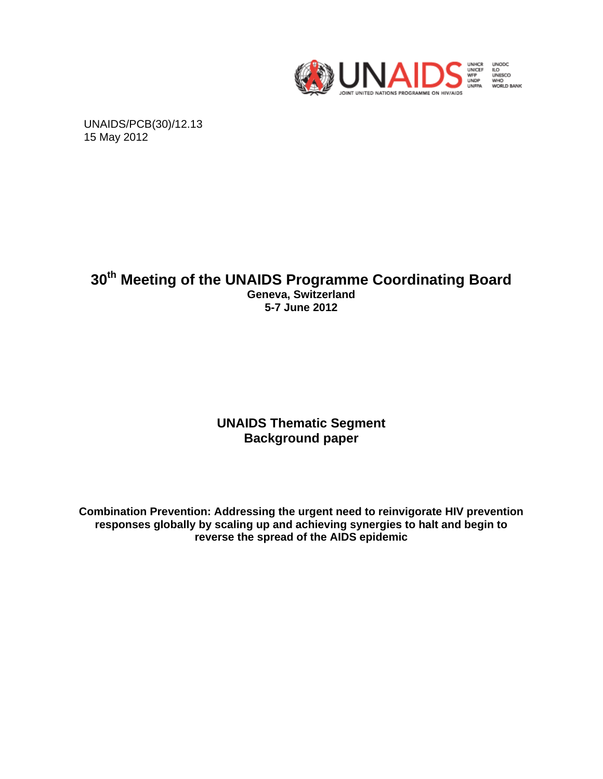

UNAIDS/PCB(30)/12.13 15 May 2012

# **30th Meeting of the UNAIDS Programme Coordinating Board Geneva, Switzerland 5-7 June 2012**

# **UNAIDS Thematic Segment Background paper**

**Combination Prevention: Addressing the urgent need to reinvigorate HIV prevention responses globally by scaling up and achieving synergies to halt and begin to reverse the spread of the AIDS epidemic**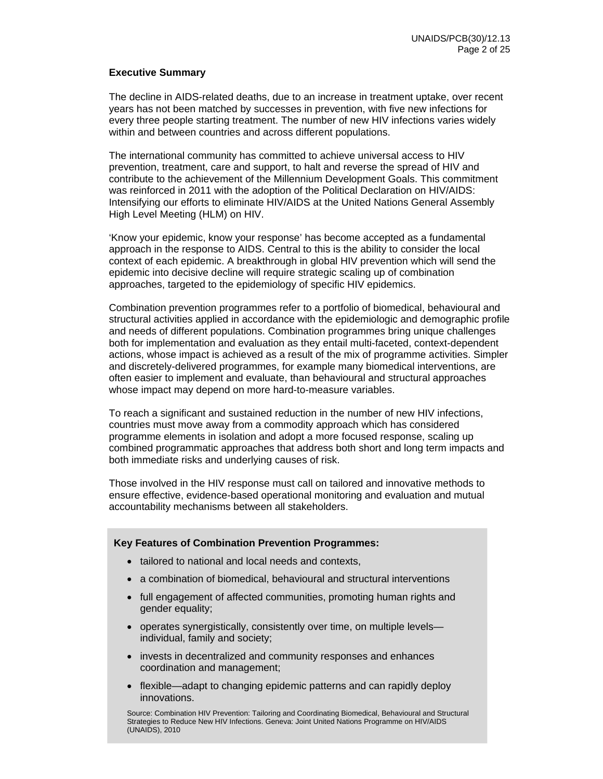### **Executive Summary**

The decline in AIDS-related deaths, due to an increase in treatment uptake, over recent years has not been matched by successes in prevention, with five new infections for every three people starting treatment. The number of new HIV infections varies widely within and between countries and across different populations.

The international community has committed to achieve universal access to HIV prevention, treatment, care and support, to halt and reverse the spread of HIV and contribute to the achievement of the Millennium Development Goals. This commitment was reinforced in 2011 with the adoption of the Political Declaration on HIV/AIDS: Intensifying our efforts to eliminate HIV/AIDS at the United Nations General Assembly High Level Meeting (HLM) on HIV.

'Know your epidemic, know your response' has become accepted as a fundamental approach in the response to AIDS. Central to this is the ability to consider the local context of each epidemic. A breakthrough in global HIV prevention which will send the epidemic into decisive decline will require strategic scaling up of combination approaches, targeted to the epidemiology of specific HIV epidemics.

Combination prevention programmes refer to a portfolio of biomedical, behavioural and structural activities applied in accordance with the epidemiologic and demographic profile and needs of different populations. Combination programmes bring unique challenges both for implementation and evaluation as they entail multi-faceted, context-dependent actions, whose impact is achieved as a result of the mix of programme activities. Simpler and discretely-delivered programmes, for example many biomedical interventions, are often easier to implement and evaluate, than behavioural and structural approaches whose impact may depend on more hard-to-measure variables.

To reach a significant and sustained reduction in the number of new HIV infections, countries must move away from a commodity approach which has considered programme elements in isolation and adopt a more focused response, scaling up combined programmatic approaches that address both short and long term impacts and both immediate risks and underlying causes of risk.

Those involved in the HIV response must call on tailored and innovative methods to ensure effective, evidence-based operational monitoring and evaluation and mutual accountability mechanisms between all stakeholders.

### **Key Features of Combination Prevention Programmes:**

- tailored to national and local needs and contexts,
- a combination of biomedical, behavioural and structural interventions
- full engagement of affected communities, promoting human rights and gender equality;
- operates synergistically, consistently over time, on multiple levels individual, family and society;
- invests in decentralized and community responses and enhances coordination and management;
- flexible—adapt to changing epidemic patterns and can rapidly deploy innovations.

Source: Combination HIV Prevention: Tailoring and Coordinating Biomedical, Behavioural and Structural Strategies to Reduce New HIV Infections. Geneva: Joint United Nations Programme on HIV/AIDS (UNAIDS), 2010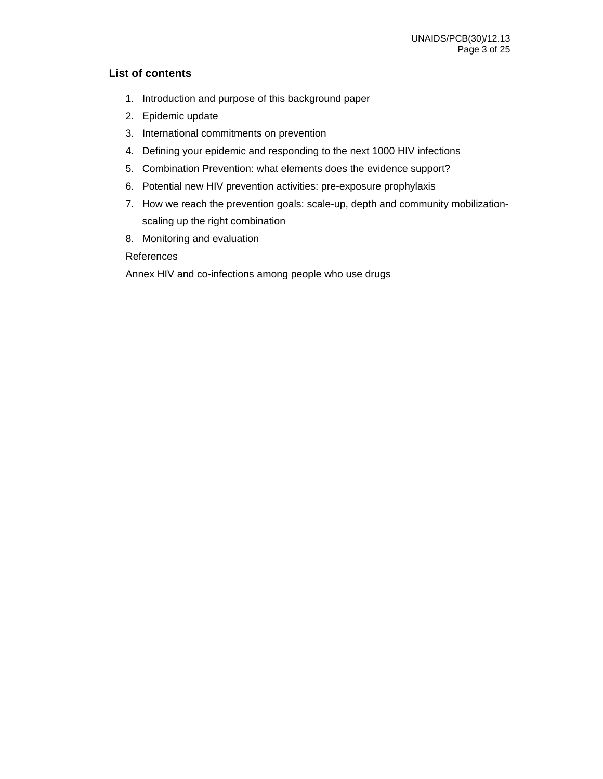# **List of contents**

- 1. Introduction and purpose of this background paper
- 2. Epidemic update
- 3. International commitments on prevention
- 4. Defining your epidemic and responding to the next 1000 HIV infections
- 5. Combination Prevention: what elements does the evidence support?
- 6. Potential new HIV prevention activities: pre-exposure prophylaxis
- 7. How we reach the prevention goals: scale-up, depth and community mobilizationscaling up the right combination
- 8. Monitoring and evaluation

### References

Annex HIV and co-infections among people who use drugs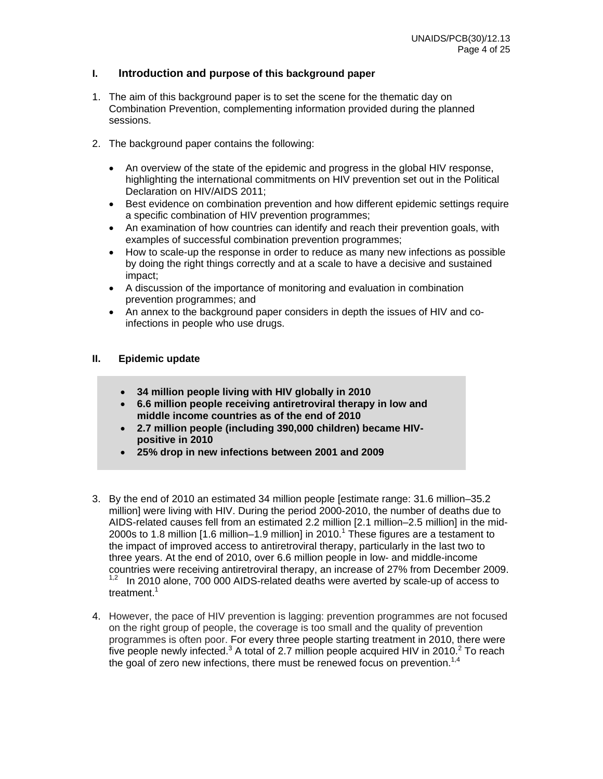## **I. Introduction and purpose of this background paper**

- 1. The aim of this background paper is to set the scene for the thematic day on Combination Prevention, complementing information provided during the planned sessions.
- 2. The background paper contains the following:
	- An overview of the state of the epidemic and progress in the global HIV response, highlighting the international commitments on HIV prevention set out in the Political Declaration on HIV/AIDS 2011;
	- Best evidence on combination prevention and how different epidemic settings require a specific combination of HIV prevention programmes;
	- An examination of how countries can identify and reach their prevention goals, with examples of successful combination prevention programmes;
	- How to scale-up the response in order to reduce as many new infections as possible by doing the right things correctly and at a scale to have a decisive and sustained impact;
	- A discussion of the importance of monitoring and evaluation in combination prevention programmes; and
	- An annex to the background paper considers in depth the issues of HIV and coinfections in people who use drugs.

### **II. Epidemic update**

- **34 million people living with HIV globally in 2010**
- **6.6 million people receiving antiretroviral therapy in low and middle income countries as of the end of 2010**
- **2.7 million people (including 390,000 children) became HIVpositive in 2010**
- **25% drop in new infections between 2001 and 2009**
- 3. By the end of 2010 an estimated 34 million people [estimate range: 31.6 million–35.2 million] were living with HIV. During the period 2000-2010, the number of deaths due to AIDS-related causes fell from an estimated 2.2 million [2.1 million–2.5 million] in the mid-2000s to 1.8 million  $[1.6 \text{ million} - 1.9 \text{ million}]$  in 2010.<sup>1</sup> These figures are a testament to the impact of improved access to antiretroviral therapy, particularly in the last two to three years. At the end of 2010, over 6.6 million people in low- and middle-income countries were receiving antiretroviral therapy, an increase of 27% from December 2009.  $1.2$  In 2010 alone, 700 000 AIDS-related deaths were averted by scale-up of access to treatment $<sup>1</sup>$ </sup>
- 4. However, the pace of HIV prevention is lagging: prevention programmes are not focused on the right group of people, the coverage is too small and the quality of prevention programmes is often poor. For every three people starting treatment in 2010, there were five people newly infected.<sup>3</sup> A total of 2.7 million people acquired HIV in 2010.<sup>2</sup> To reach the goal of zero new infections, there must be renewed focus on prevention.<sup>1,4</sup>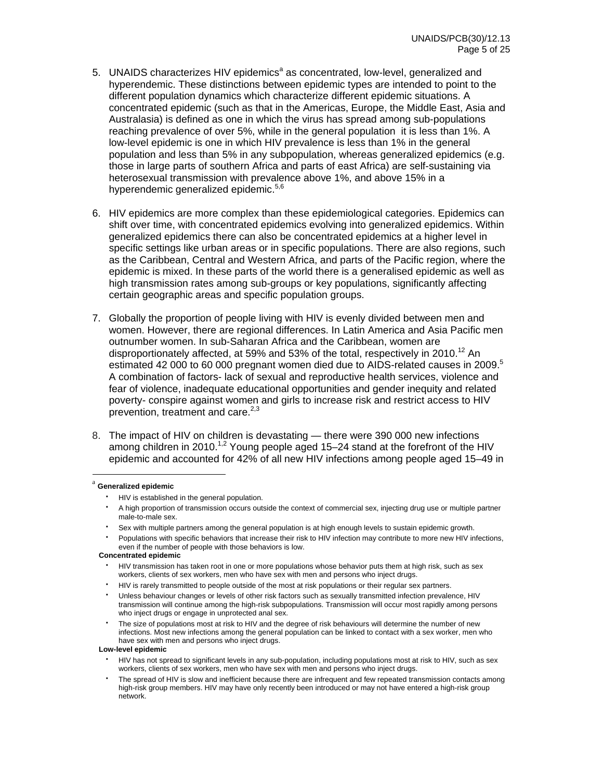- 5. UNAIDS characterizes HIV epidemics<sup>a</sup> as concentrated, low-level, generalized and hyperendemic. These distinctions between epidemic types are intended to point to the different population dynamics which characterize different epidemic situations. A concentrated epidemic (such as that in the Americas, Europe, the Middle East, Asia and Australasia) is defined as one in which the virus has spread among sub-populations reaching prevalence of over 5%, while in the general population it is less than 1%. A low-level epidemic is one in which HIV prevalence is less than 1% in the general population and less than 5% in any subpopulation, whereas generalized epidemics (e.g. those in large parts of southern Africa and parts of east Africa) are self-sustaining via heterosexual transmission with prevalence above 1%, and above 15% in a hyperendemic generalized epidemic.<sup>5,6</sup>
- 6. HIV epidemics are more complex than these epidemiological categories. Epidemics can shift over time, with concentrated epidemics evolving into generalized epidemics. Within generalized epidemics there can also be concentrated epidemics at a higher level in specific settings like urban areas or in specific populations. There are also regions, such as the Caribbean, Central and Western Africa, and parts of the Pacific region, where the epidemic is mixed. In these parts of the world there is a generalised epidemic as well as high transmission rates among sub-groups or key populations, significantly affecting certain geographic areas and specific population groups.
- 7. Globally the proportion of people living with HIV is evenly divided between men and women. However, there are regional differences. In Latin America and Asia Pacific men outnumber women. In sub-Saharan Africa and the Caribbean, women are disproportionately affected, at 59% and 53% of the total, respectively in 2010.<sup>12</sup> An estimated 42 000 to 60 000 pregnant women died due to AIDS-related causes in 2009.<sup>5</sup> A combination of factors- lack of sexual and reproductive health services, violence and fear of violence, inadequate educational opportunities and gender inequity and related poverty- conspire against women and girls to increase risk and restrict access to HIV prevention, treatment and care.<sup>2,3</sup>
- 8. The impact of HIV on children is devastating there were 390 000 new infections among children in 2010.<sup>1,2</sup> Young people aged 15–24 stand at the forefront of the HIV epidemic and accounted for 42% of all new HIV infections among people aged 15–49 in

#### <sup>a</sup> **Generalized epidemic**

 

- HIV is established in the general population.
- A high proportion of transmission occurs outside the context of commercial sex, injecting drug use or multiple partner male-to-male sex.
- Sex with multiple partners among the general population is at high enough levels to sustain epidemic growth.
- Populations with specific behaviors that increase their risk to HIV infection may contribute to more new HIV infections, even if the number of people with those behaviors is low.

#### **Concentrated epidemic**

#### **Low-level epidemic**

- HIV has not spread to significant levels in any sub-population, including populations most at risk to HIV, such as sex workers, clients of sex workers, men who have sex with men and persons who inject drugs.
- The spread of HIV is slow and inefficient because there are infrequent and few repeated transmission contacts among high-risk group members. HIV may have only recently been introduced or may not have entered a high-risk group network.

HIV transmission has taken root in one or more populations whose behavior puts them at high risk, such as sex workers, clients of sex workers, men who have sex with men and persons who inject drugs.

HIV is rarely transmitted to people outside of the most at risk populations or their regular sex partners.

Unless behaviour changes or levels of other risk factors such as sexually transmitted infection prevalence, HIV transmission will continue among the high-risk subpopulations. Transmission will occur most rapidly among persons who inject drugs or engage in unprotected anal sex.

The size of populations most at risk to HIV and the degree of risk behaviours will determine the number of new infections. Most new infections among the general population can be linked to contact with a sex worker, men who have sex with men and persons who inject drugs.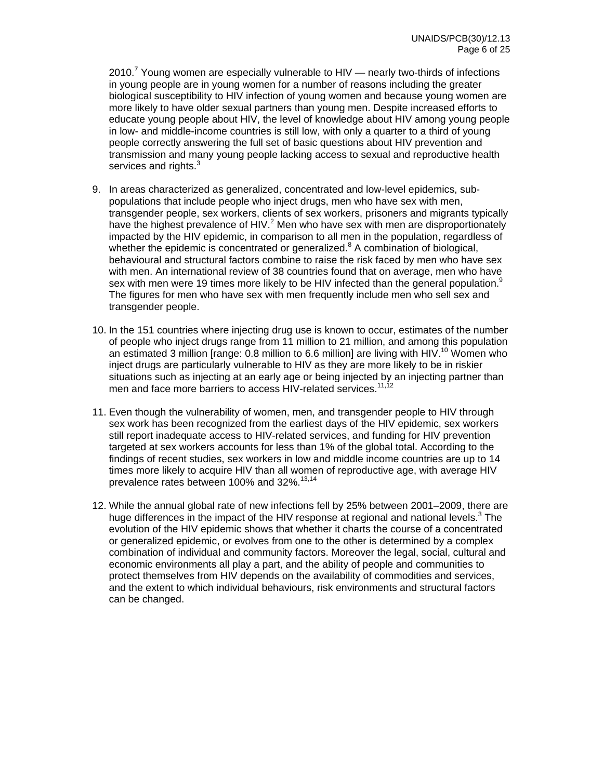2010.<sup>7</sup> Young women are especially vulnerable to HIV  $-$  nearly two-thirds of infections in young people are in young women for a number of reasons including the greater biological susceptibility to HIV infection of young women and because young women are more likely to have older sexual partners than young men. Despite increased efforts to educate young people about HIV, the level of knowledge about HIV among young people in low- and middle-income countries is still low, with only a quarter to a third of young people correctly answering the full set of basic questions about HIV prevention and transmission and many young people lacking access to sexual and reproductive health services and rights. $3$ 

- 9. In areas characterized as generalized, concentrated and low-level epidemics, subpopulations that include people who inject drugs, men who have sex with men, transgender people, sex workers, clients of sex workers, prisoners and migrants typically have the highest prevalence of HIV. $^2$  Men who have sex with men are disproportionately impacted by the HIV epidemic, in comparison to all men in the population, regardless of whether the epidemic is concentrated or generalized. $8$  A combination of biological, behavioural and structural factors combine to raise the risk faced by men who have sex with men. An international review of 38 countries found that on average, men who have sex with men were 19 times more likely to be HIV infected than the general population.<sup>9</sup> The figures for men who have sex with men frequently include men who sell sex and transgender people.
- 10. In the 151 countries where injecting drug use is known to occur, estimates of the number of people who inject drugs range from 11 million to 21 million, and among this population an estimated 3 million [range:  $0.8$  million to  $6.6$  million] are living with HIV.<sup>10</sup> Women who inject drugs are particularly vulnerable to HIV as they are more likely to be in riskier situations such as injecting at an early age or being injected by an injecting partner than men and face more barriers to access HIV-related services.<sup>11,12</sup>
- 11. Even though the vulnerability of women, men, and transgender people to HIV through sex work has been recognized from the earliest days of the HIV epidemic, sex workers still report inadequate access to HIV-related services, and funding for HIV prevention targeted at sex workers accounts for less than 1% of the global total. According to the findings of recent studies, sex workers in low and middle income countries are up to 14 times more likely to acquire HIV than all women of reproductive age, with average HIV prevalence rates between 100% and 32%.<sup>13,14</sup>
- 12. While the annual global rate of new infections fell by 25% between 2001–2009, there are huge differences in the impact of the HIV response at regional and national levels.<sup>3</sup> The evolution of the HIV epidemic shows that whether it charts the course of a concentrated or generalized epidemic, or evolves from one to the other is determined by a complex combination of individual and community factors. Moreover the legal, social, cultural and economic environments all play a part, and the ability of people and communities to protect themselves from HIV depends on the availability of commodities and services, and the extent to which individual behaviours, risk environments and structural factors can be changed.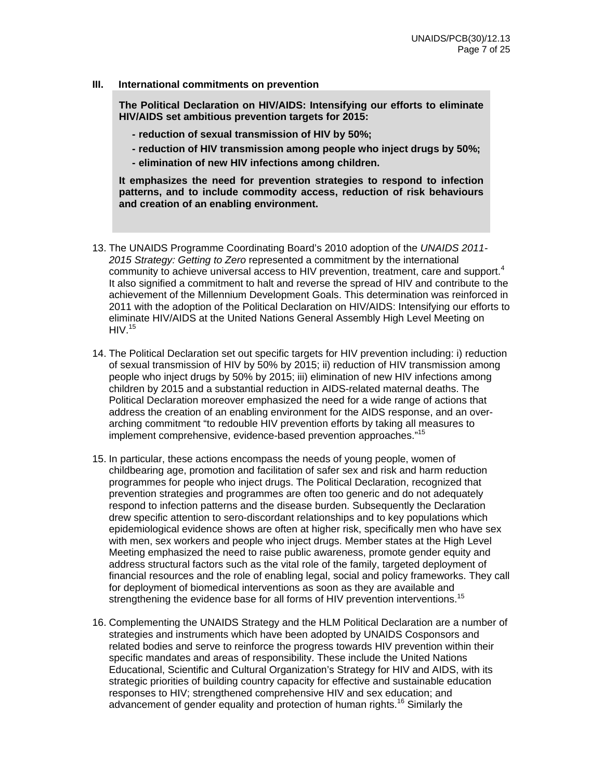### **III. International commitments on prevention**

**The Political Declaration on HIV/AIDS: Intensifying our efforts to eliminate HIV/AIDS set ambitious prevention targets for 2015:** 

- **reduction of sexual transmission of HIV by 50%;**
- **reduction of HIV transmission among people who inject drugs by 50%;**
- **elimination of new HIV infections among children.**

**It emphasizes the need for prevention strategies to respond to infection patterns, and to include commodity access, reduction of risk behaviours and creation of an enabling environment.** 

- 13. The UNAIDS Programme Coordinating Board's 2010 adoption of the *UNAIDS 2011- 2015 Strategy: Getting to Zero* represented a commitment by the international community to achieve universal access to HIV prevention, treatment, care and support.<sup>4</sup> It also signified a commitment to halt and reverse the spread of HIV and contribute to the achievement of the Millennium Development Goals. This determination was reinforced in 2011 with the adoption of the Political Declaration on HIV/AIDS: Intensifying our efforts to eliminate HIV/AIDS at the United Nations General Assembly High Level Meeting on  $HIV.<sup>15</sup>$
- 14. The Political Declaration set out specific targets for HIV prevention including: i) reduction of sexual transmission of HIV by 50% by 2015; ii) reduction of HIV transmission among people who inject drugs by 50% by 2015; iii) elimination of new HIV infections among children by 2015 and a substantial reduction in AIDS-related maternal deaths. The Political Declaration moreover emphasized the need for a wide range of actions that address the creation of an enabling environment for the AIDS response, and an overarching commitment "to redouble HIV prevention efforts by taking all measures to implement comprehensive, evidence-based prevention approaches."15
- 15. In particular, these actions encompass the needs of young people, women of childbearing age, promotion and facilitation of safer sex and risk and harm reduction programmes for people who inject drugs. The Political Declaration, recognized that prevention strategies and programmes are often too generic and do not adequately respond to infection patterns and the disease burden. Subsequently the Declaration drew specific attention to sero-discordant relationships and to key populations which epidemiological evidence shows are often at higher risk, specifically men who have sex with men, sex workers and people who inject drugs. Member states at the High Level Meeting emphasized the need to raise public awareness, promote gender equity and address structural factors such as the vital role of the family, targeted deployment of financial resources and the role of enabling legal, social and policy frameworks. They call for deployment of biomedical interventions as soon as they are available and strengthening the evidence base for all forms of HIV prevention interventions.<sup>15</sup>
- 16. Complementing the UNAIDS Strategy and the HLM Political Declaration are a number of strategies and instruments which have been adopted by UNAIDS Cosponsors and related bodies and serve to reinforce the progress towards HIV prevention within their specific mandates and areas of responsibility. These include the United Nations Educational, Scientific and Cultural Organization's Strategy for HIV and AIDS, with its strategic priorities of building country capacity for effective and sustainable education responses to HIV; strengthened comprehensive HIV and sex education; and advancement of gender equality and protection of human rights.<sup>16</sup> Similarly the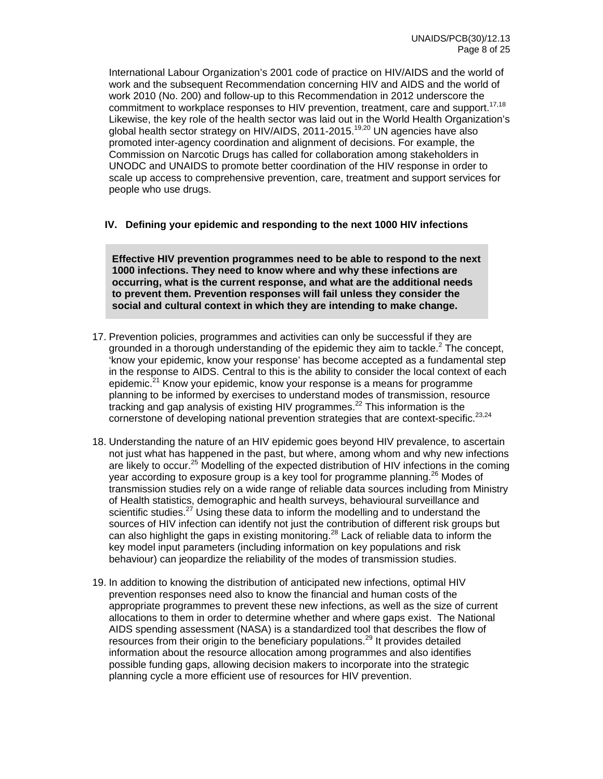International Labour Organization's 2001 code of practice on HIV/AIDS and the world of work and the subsequent Recommendation concerning HIV and AIDS and the world of work 2010 (No. 200) and follow-up to this Recommendation in 2012 underscore the commitment to workplace responses to HIV prevention, treatment, care and support.<sup>17,18</sup> Likewise, the key role of the health sector was laid out in the World Health Organization's global health sector strategy on HIV/AIDS, 2011-2015.<sup>19,20</sup> UN agencies have also promoted inter-agency coordination and alignment of decisions. For example, the Commission on Narcotic Drugs has called for collaboration among stakeholders in UNODC and UNAIDS to promote better coordination of the HIV response in order to scale up access to comprehensive prevention, care, treatment and support services for people who use drugs.

### **IV. Defining your epidemic and responding to the next 1000 HIV infections**

**Effective HIV prevention programmes need to be able to respond to the next 1000 infections. They need to know where and why these infections are occurring, what is the current response, and what are the additional needs to prevent them. Prevention responses will fail unless they consider the social and cultural context in which they are intending to make change.** 

- 17. Prevention policies, programmes and activities can only be successful if they are grounded in a thorough understanding of the epidemic they aim to tackle. $2$  The concept, 'know your epidemic, know your response' has become accepted as a fundamental step in the response to AIDS. Central to this is the ability to consider the local context of each epidemic.<sup>21</sup> Know your epidemic, know your response is a means for programme planning to be informed by exercises to understand modes of transmission, resource tracking and gap analysis of existing HIV programmes.<sup>22</sup> This information is the cornerstone of developing national prevention strategies that are context-specific.<sup>23,24</sup>
- 18. Understanding the nature of an HIV epidemic goes beyond HIV prevalence, to ascertain not just what has happened in the past, but where, among whom and why new infections are likely to occur.<sup>25</sup> Modelling of the expected distribution of HIV infections in the coming year according to exposure group is a key tool for programme planning.<sup>26</sup> Modes of transmission studies rely on a wide range of reliable data sources including from Ministry of Health statistics, demographic and health surveys, behavioural surveillance and scientific studies.<sup>27</sup> Using these data to inform the modelling and to understand the sources of HIV infection can identify not just the contribution of different risk groups but can also highlight the gaps in existing monitoring.<sup>28</sup> Lack of reliable data to inform the key model input parameters (including information on key populations and risk behaviour) can jeopardize the reliability of the modes of transmission studies.
- 19. In addition to knowing the distribution of anticipated new infections, optimal HIV prevention responses need also to know the financial and human costs of the appropriate programmes to prevent these new infections, as well as the size of current allocations to them in order to determine whether and where gaps exist. The National AIDS spending assessment (NASA) is a standardized tool that describes the flow of resources from their origin to the beneficiary populations.<sup>29</sup> It provides detailed information about the resource allocation among programmes and also identifies possible funding gaps, allowing decision makers to incorporate into the strategic planning cycle a more efficient use of resources for HIV prevention.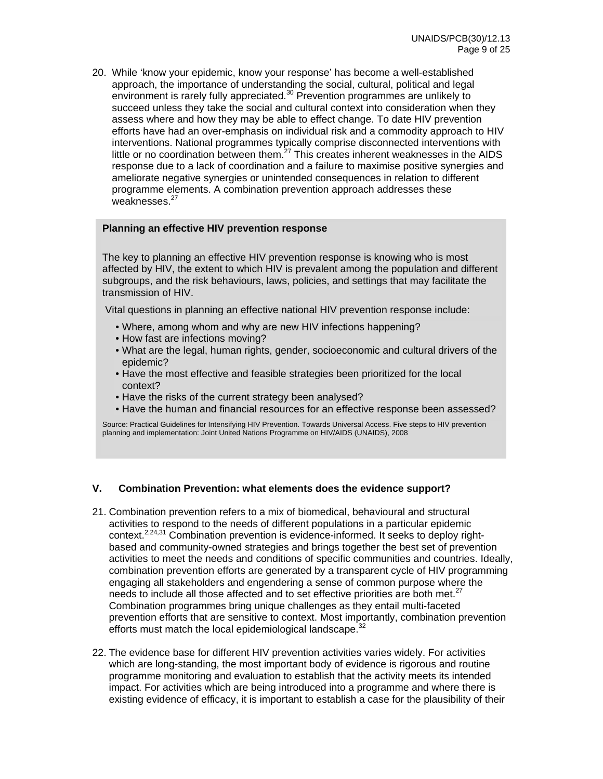20. While 'know your epidemic, know your response' has become a well-established approach, the importance of understanding the social, cultural, political and legal environment is rarely fully appreciated.<sup>30</sup> Prevention programmes are unlikely to succeed unless they take the social and cultural context into consideration when they assess where and how they may be able to effect change. To date HIV prevention efforts have had an over-emphasis on individual risk and a commodity approach to HIV interventions. National programmes typically comprise disconnected interventions with little or no coordination between them. $27$  This creates inherent weaknesses in the AIDS response due to a lack of coordination and a failure to maximise positive synergies and ameliorate negative synergies or unintended consequences in relation to different programme elements. A combination prevention approach addresses these weaknesses.<sup>27</sup>

### **Planning an effective HIV prevention response**

The key to planning an effective HIV prevention response is knowing who is most affected by HIV, the extent to which HIV is prevalent among the population and different subgroups, and the risk behaviours, laws, policies, and settings that may facilitate the transmission of HIV.

Vital questions in planning an effective national HIV prevention response include:

- Where, among whom and why are new HIV infections happening?
- How fast are infections moving?
- What are the legal, human rights, gender, socioeconomic and cultural drivers of the epidemic?
- Have the most effective and feasible strategies been prioritized for the local context?
- Have the risks of the current strategy been analysed?
- Have the human and financial resources for an effective response been assessed?

Source: Practical Guidelines for Intensifying HIV Prevention. Towards Universal Access. Five steps to HIV prevention planning and implementation: Joint United Nations Programme on HIV/AIDS (UNAIDS), 2008

### **V. Combination Prevention: what elements does the evidence support?**

- 21. Combination prevention refers to a mix of biomedical, behavioural and structural activities to respond to the needs of different populations in a particular epidemic context.<sup>2,24,31</sup> Combination prevention is evidence-informed. It seeks to deploy rightbased and community-owned strategies and brings together the best set of prevention activities to meet the needs and conditions of specific communities and countries. Ideally, combination prevention efforts are generated by a transparent cycle of HIV programming engaging all stakeholders and engendering a sense of common purpose where the needs to include all those affected and to set effective priorities are both met.<sup>27</sup> Combination programmes bring unique challenges as they entail multi-faceted prevention efforts that are sensitive to context. Most importantly, combination prevention efforts must match the local epidemiological landscape.<sup>32</sup>
- 22. The evidence base for different HIV prevention activities varies widely. For activities which are long-standing, the most important body of evidence is rigorous and routine programme monitoring and evaluation to establish that the activity meets its intended impact. For activities which are being introduced into a programme and where there is existing evidence of efficacy, it is important to establish a case for the plausibility of their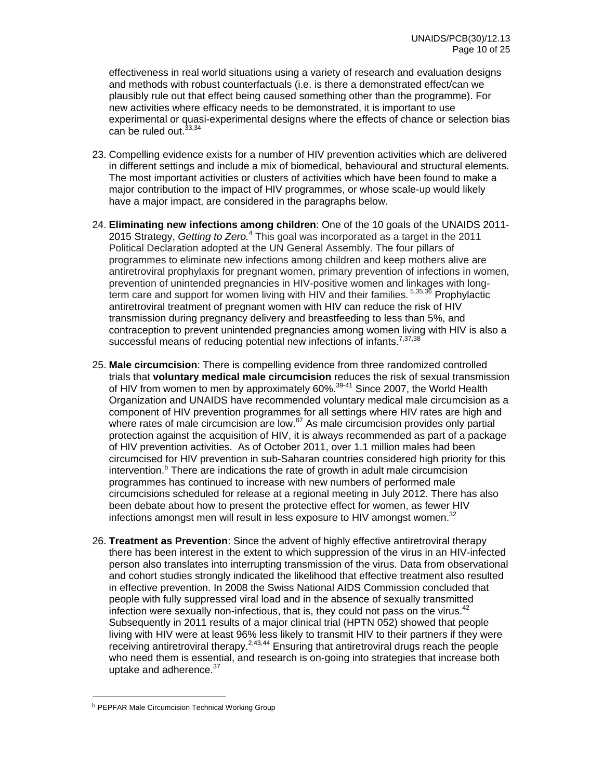effectiveness in real world situations using a variety of research and evaluation designs and methods with robust counterfactuals (i.e. is there a demonstrated effect/can we plausibly rule out that effect being caused something other than the programme). For new activities where efficacy needs to be demonstrated, it is important to use experimental or quasi-experimental designs where the effects of chance or selection bias can be ruled out.<sup>33,34</sup>

- 23. Compelling evidence exists for a number of HIV prevention activities which are delivered in different settings and include a mix of biomedical, behavioural and structural elements. The most important activities or clusters of activities which have been found to make a major contribution to the impact of HIV programmes, or whose scale-up would likely have a major impact, are considered in the paragraphs below.
- 24. **Eliminating new infections among children**: One of the 10 goals of the UNAIDS 2011- 2015 Strategy, *Getting to Zero.*<sup>4</sup> This goal was incorporated as a target in the 2011 Political Declaration adopted at the UN General Assembly. The four pillars of programmes to eliminate new infections among children and keep mothers alive are antiretroviral prophylaxis for pregnant women, primary prevention of infections in women, prevention of unintended pregnancies in HIV-positive women and linkages with longterm care and support for women living with HIV and their families. <sup>5,35,36</sup> Prophylactic antiretroviral treatment of pregnant women with HIV can reduce the risk of HIV transmission during pregnancy delivery and breastfeeding to less than 5%, and contraception to prevent unintended pregnancies among women living with HIV is also a successful means of reducing potential new infections of infants.<sup>7,37,38</sup>
- 25. **Male circumcision**: There is compelling evidence from three randomized controlled trials that **voluntary medical male circumcision** reduces the risk of sexual transmission of HIV from women to men by approximately 60%.<sup>39-41</sup> Since 2007, the World Health Organization and UNAIDS have recommended voluntary medical male circumcision as a component of HIV prevention programmes for all settings where HIV rates are high and where rates of male circumcision are low.<sup>87</sup> As male circumcision provides only partial protection against the acquisition of HIV, it is always recommended as part of a package of HIV prevention activities. As of October 2011, over 1.1 million males had been circumcised for HIV prevention in sub-Saharan countries considered high priority for this intervention.<sup>b</sup> There are indications the rate of growth in adult male circumcision programmes has continued to increase with new numbers of performed male circumcisions scheduled for release at a regional meeting in July 2012. There has also been debate about how to present the protective effect for women, as fewer HIV infections amongst men will result in less exposure to HIV amongst women. $32$
- 26. **Treatment as Prevention**: Since the advent of highly effective antiretroviral therapy there has been interest in the extent to which suppression of the virus in an HIV-infected person also translates into interrupting transmission of the virus. Data from observational and cohort studies strongly indicated the likelihood that effective treatment also resulted in effective prevention. In 2008 the Swiss National AIDS Commission concluded that people with fully suppressed viral load and in the absence of sexually transmitted infection were sexually non-infectious, that is, they could not pass on the virus. $42$ Subsequently in 2011 results of a major clinical trial (HPTN 052) showed that people living with HIV were at least 96% less likely to transmit HIV to their partners if they were receiving antiretroviral therapy.<sup>2,43,44</sup> Ensuring that antiretroviral drugs reach the people who need them is essential, and research is on-going into strategies that increase both uptake and adherence.<sup>37</sup>

 

**b PEPFAR Male Circumcision Technical Working Group**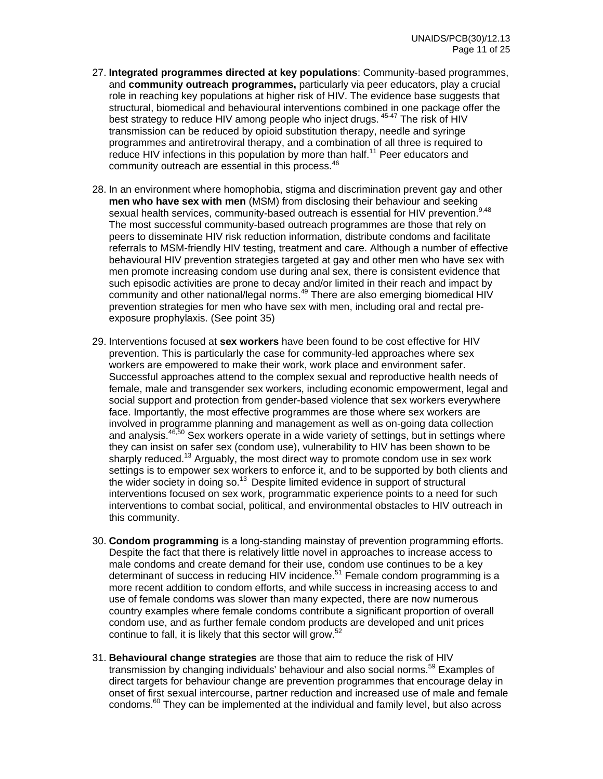- 27. **Integrated programmes directed at key populations**: Community-based programmes, and **community outreach programmes,** particularly via peer educators, play a crucial role in reaching key populations at higher risk of HIV. The evidence base suggests that structural, biomedical and behavioural interventions combined in one package offer the best strategy to reduce HIV among people who inject drugs. <sup>45-47</sup> The risk of HIV transmission can be reduced by opioid substitution therapy, needle and syringe programmes and antiretroviral therapy, and a combination of all three is required to reduce HIV infections in this population by more than half.<sup>11</sup> Peer educators and community outreach are essential in this process.<sup>46</sup>
- 28. In an environment where homophobia, stigma and discrimination prevent gay and other **men who have sex with men** (MSM) from disclosing their behaviour and seeking sexual health services, community-based outreach is essential for HIV prevention.<sup>9,48</sup> The most successful community-based outreach programmes are those that rely on peers to disseminate HIV risk reduction information, distribute condoms and facilitate referrals to MSM-friendly HIV testing, treatment and care. Although a number of effective behavioural HIV prevention strategies targeted at gay and other men who have sex with men promote increasing condom use during anal sex, there is consistent evidence that such episodic activities are prone to decay and/or limited in their reach and impact by community and other national/legal norms. $49$  There are also emerging biomedical HIV prevention strategies for men who have sex with men, including oral and rectal preexposure prophylaxis. (See point 35)
- 29. Interventions focused at **sex workers** have been found to be cost effective for HIV prevention. This is particularly the case for community-led approaches where sex workers are empowered to make their work, work place and environment safer. Successful approaches attend to the complex sexual and reproductive health needs of female, male and transgender sex workers, including economic empowerment, legal and social support and protection from gender-based violence that sex workers everywhere face. Importantly, the most effective programmes are those where sex workers are involved in programme planning and management as well as on-going data collection and analysis.<sup>46,50</sup> Sex workers operate in a wide variety of settings, but in settings where they can insist on safer sex (condom use), vulnerability to HIV has been shown to be sharply reduced.<sup>13</sup> Arguably, the most direct way to promote condom use in sex work settings is to empower sex workers to enforce it, and to be supported by both clients and the wider society in doing so.<sup>13</sup> Despite limited evidence in support of structural interventions focused on sex work, programmatic experience points to a need for such interventions to combat social, political, and environmental obstacles to HIV outreach in this community.
- 30. **Condom programming** is a long-standing mainstay of prevention programming efforts. Despite the fact that there is relatively little novel in approaches to increase access to male condoms and create demand for their use, condom use continues to be a key determinant of success in reducing HIV incidence.<sup>51</sup> Female condom programming is a more recent addition to condom efforts, and while success in increasing access to and use of female condoms was slower than many expected, there are now numerous country examples where female condoms contribute a significant proportion of overall condom use, and as further female condom products are developed and unit prices continue to fall, it is likely that this sector will grow. $52$
- 31. **Behavioural change strategies** are those that aim to reduce the risk of HIV transmission by changing individuals' behaviour and also social norms.<sup>59</sup> Examples of direct targets for behaviour change are prevention programmes that encourage delay in onset of first sexual intercourse, partner reduction and increased use of male and female condoms.<sup>60</sup> They can be implemented at the individual and family level, but also across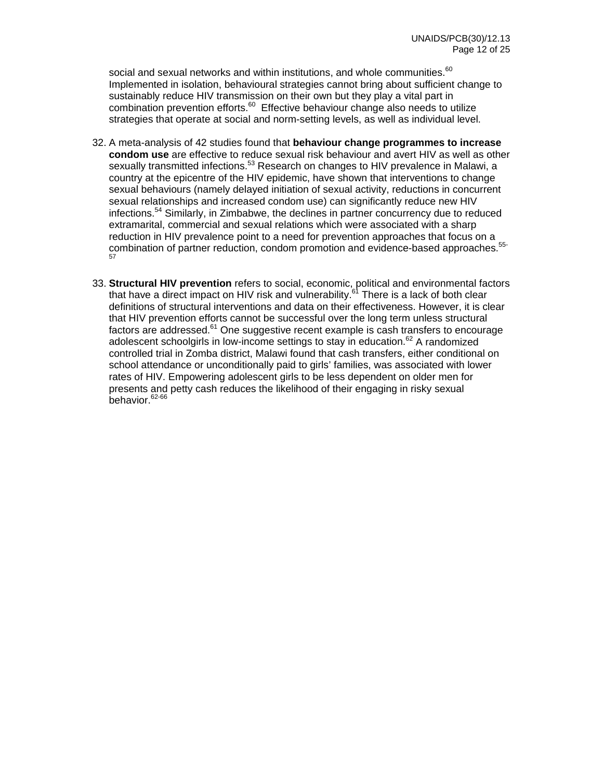social and sexual networks and within institutions, and whole communities.<sup>60</sup> Implemented in isolation, behavioural strategies cannot bring about sufficient change to sustainably reduce HIV transmission on their own but they play a vital part in combination prevention efforts.<sup>60</sup> Effective behaviour change also needs to utilize strategies that operate at social and norm-setting levels, as well as individual level.

- 32. A meta-analysis of 42 studies found that **behaviour change programmes to increase condom use** are effective to reduce sexual risk behaviour and avert HIV as well as other sexually transmitted infections.<sup>53</sup> Research on changes to HIV prevalence in Malawi, a country at the epicentre of the HIV epidemic, have shown that interventions to change sexual behaviours (namely delayed initiation of sexual activity, reductions in concurrent sexual relationships and increased condom use) can significantly reduce new HIV infections.54 Similarly, in Zimbabwe, the declines in partner concurrency due to reduced extramarital, commercial and sexual relations which were associated with a sharp reduction in HIV prevalence point to a need for prevention approaches that focus on a combination of partner reduction, condom promotion and evidence-based approaches.<sup>55-</sup><br><sup>57</sup>
- 33. **Structural HIV prevention** refers to social, economic, political and environmental factors that have a direct impact on HIV risk and vulnerability.<sup>61</sup> There is a lack of both clear definitions of structural interventions and data on their effectiveness. However, it is clear that HIV prevention efforts cannot be successful over the long term unless structural factors are addressed. $61$  One suggestive recent example is cash transfers to encourage adolescent schoolgirls in low-income settings to stay in education.<sup>62</sup> A randomized controlled trial in Zomba district, Malawi found that cash transfers, either conditional on school attendance or unconditionally paid to girls' families, was associated with lower rates of HIV. Empowering adolescent girls to be less dependent on older men for presents and petty cash reduces the likelihood of their engaging in risky sexual behavior.<sup>62-66</sup>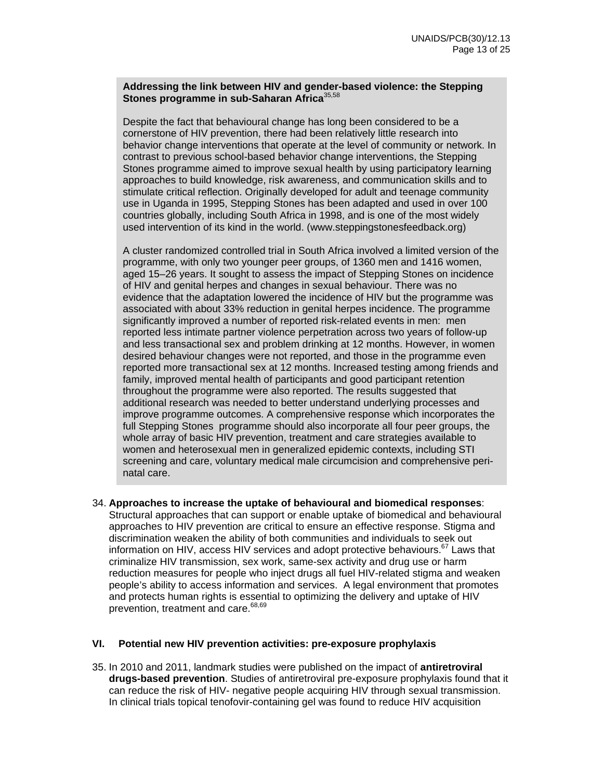### **Addressing the link between HIV and gender-based violence: the Stepping Stones programme in sub-Saharan Africa**35,58

Despite the fact that behavioural change has long been considered to be a cornerstone of HIV prevention, there had been relatively little research into behavior change interventions that operate at the level of community or network. In contrast to previous school-based behavior change interventions, the Stepping Stones programme aimed to improve sexual health by using participatory learning approaches to build knowledge, risk awareness, and communication skills and to stimulate critical reflection. Originally developed for adult and teenage community use in Uganda in 1995, Stepping Stones has been adapted and used in over 100 countries globally, including South Africa in 1998, and is one of the most widely used intervention of its kind in the world. (www.steppingstonesfeedback.org)

A cluster randomized controlled trial in South Africa involved a limited version of the programme, with only two younger peer groups, of 1360 men and 1416 women, aged 15–26 years. It sought to assess the impact of Stepping Stones on incidence of HIV and genital herpes and changes in sexual behaviour. There was no evidence that the adaptation lowered the incidence of HIV but the programme was associated with about 33% reduction in genital herpes incidence. The programme significantly improved a number of reported risk-related events in men: men reported less intimate partner violence perpetration across two years of follow-up and less transactional sex and problem drinking at 12 months. However, in women desired behaviour changes were not reported, and those in the programme even reported more transactional sex at 12 months. Increased testing among friends and family, improved mental health of participants and good participant retention throughout the programme were also reported. The results suggested that additional research was needed to better understand underlying processes and improve programme outcomes. A comprehensive response which incorporates the full Stepping Stones programme should also incorporate all four peer groups, the whole array of basic HIV prevention, treatment and care strategies available to women and heterosexual men in generalized epidemic contexts, including STI screening and care, voluntary medical male circumcision and comprehensive perinatal care.

34. **Approaches to increase the uptake of behavioural and biomedical responses**: Structural approaches that can support or enable uptake of biomedical and behavioural approaches to HIV prevention are critical to ensure an effective response. Stigma and discrimination weaken the ability of both communities and individuals to seek out information on HIV, access HIV services and adopt protective behaviours.<sup>67</sup> Laws that criminalize HIV transmission, sex work, same-sex activity and drug use or harm reduction measures for people who inject drugs all fuel HIV-related stigma and weaken people's ability to access information and services. A legal environment that promotes and protects human rights is essential to optimizing the delivery and uptake of HIV prevention, treatment and care.<sup>68,69</sup>

### **VI. Potential new HIV prevention activities: pre-exposure prophylaxis**

35. In 2010 and 2011, landmark studies were published on the impact of **antiretroviral drugs-based prevention**. Studies of antiretroviral pre-exposure prophylaxis found that it can reduce the risk of HIV- negative people acquiring HIV through sexual transmission. In clinical trials topical tenofovir-containing gel was found to reduce HIV acquisition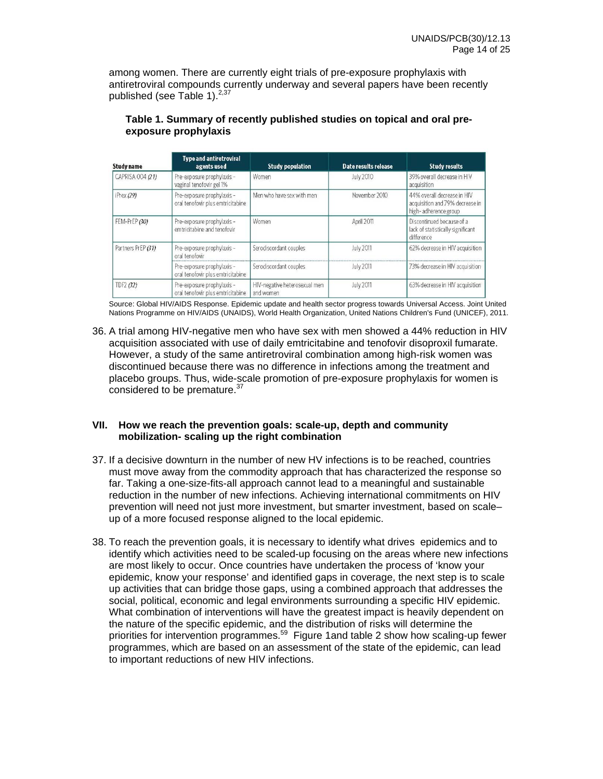among women. There are currently eight trials of pre-exposure prophylaxis with antiretroviral compounds currently underway and several papers have been recently published (see Table 1).<sup>2,37</sup>

| <b>Study name</b>  | <b>Type and antiretroviral</b><br>agents used                   | <b>Study population</b>                    | Date results release | <b>Study results</b>                                                                   |
|--------------------|-----------------------------------------------------------------|--------------------------------------------|----------------------|----------------------------------------------------------------------------------------|
| CAPRISA 004 (21)   | Pre-exposure prophylaxis -<br>vaginal tenofovir gel 1%          | Women                                      | <b>July 2010</b>     | 39% overall decrease in HIV<br>acquisition                                             |
| iPrex (29)         | Pre-exposure prophylaxis -<br>oral tenofovir plus emtricitabine | Men who have sex with men                  | November 2010        | 44% overall decrease in HIV<br>acquisition and 79% decrease in<br>high-adherence group |
| FEM-PrEP (30)      | Pre-exposure prophylaxis -<br>emtricitabine and tenofovir       | Women                                      | April 2011           | Discontinued because of a<br>lack of statistically significant<br>difference           |
| Partners PrEP (31) | Pre-exposure prophylaxis -<br>oral tenofovir                    | Serodiscordant couples                     | <b>July 2011</b>     | 62% decrease in HIV acquisition                                                        |
|                    | Pre-exposure prophylaxis -<br>oral tenofovir plus emtricitabine | Serodiscordant couples                     | <b>July 2011</b>     | 73% decrease in HIV acquisition                                                        |
| TDF2 (32)          | Pre-exposure prophylaxis -<br>oral tenofovir plus emtricitabine | HIV-negative heterosexual men<br>and women | <b>July 2011</b>     | 63% decrease in HIV acquisition                                                        |

## **Table 1. Summary of recently published studies on topical and oral preexposure prophylaxis**

Source: Global HIV/AIDS Response. Epidemic update and health sector progress towards Universal Access. Joint United Nations Programme on HIV/AIDS (UNAIDS), World Health Organization, United Nations Children's Fund (UNICEF), 2011.

36. A trial among HIV-negative men who have sex with men showed a 44% reduction in HIV acquisition associated with use of daily emtricitabine and tenofovir disoproxil fumarate. However, a study of the same antiretroviral combination among high-risk women was discontinued because there was no difference in infections among the treatment and placebo groups. Thus, wide-scale promotion of pre-exposure prophylaxis for women is considered to be premature.<sup>37</sup>

### **VII. How we reach the prevention goals: scale-up, depth and community mobilization- scaling up the right combination**

- 37. If a decisive downturn in the number of new HV infections is to be reached, countries must move away from the commodity approach that has characterized the response so far. Taking a one-size-fits-all approach cannot lead to a meaningful and sustainable reduction in the number of new infections. Achieving international commitments on HIV prevention will need not just more investment, but smarter investment, based on scale– up of a more focused response aligned to the local epidemic.
- 38. To reach the prevention goals, it is necessary to identify what drives epidemics and to identify which activities need to be scaled-up focusing on the areas where new infections are most likely to occur. Once countries have undertaken the process of 'know your epidemic, know your response' and identified gaps in coverage, the next step is to scale up activities that can bridge those gaps, using a combined approach that addresses the social, political, economic and legal environments surrounding a specific HIV epidemic. What combination of interventions will have the greatest impact is heavily dependent on the nature of the specific epidemic, and the distribution of risks will determine the priorities for intervention programmes.<sup>59</sup> Figure 1 and table 2 show how scaling-up fewer programmes, which are based on an assessment of the state of the epidemic, can lead to important reductions of new HIV infections.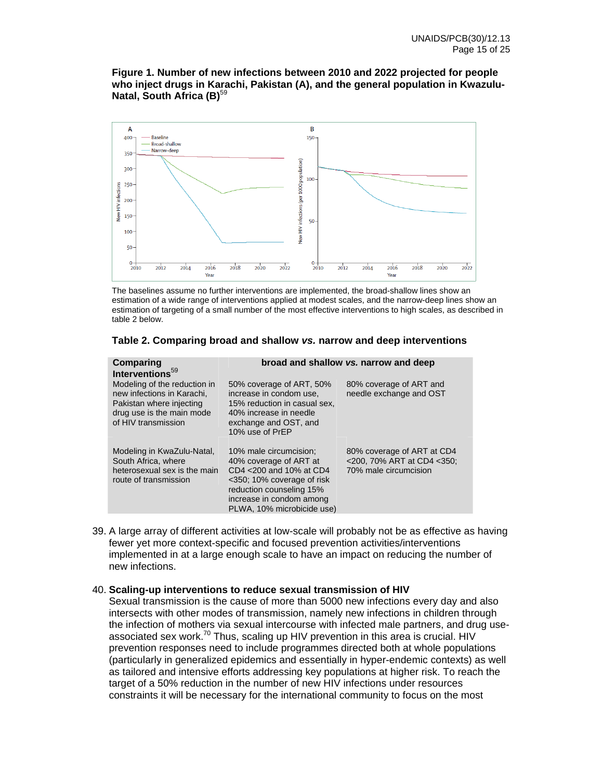**Figure 1. Number of new infections between 2010 and 2022 projected for people who inject drugs in Karachi, Pakistan (A), and the general population in Kwazulu-Natal, South Africa (B)**<sup>59</sup>



The baselines assume no further interventions are implemented, the broad-shallow lines show an estimation of a wide range of interventions applied at modest scales, and the narrow-deep lines show an estimation of targeting of a small number of the most effective interventions to high scales, as described in table 2 below.

| Comparing                                                                                                                                  | broad and shallow vs. narrow and deep                                                                                                                                                           |                                                                                   |  |  |
|--------------------------------------------------------------------------------------------------------------------------------------------|-------------------------------------------------------------------------------------------------------------------------------------------------------------------------------------------------|-----------------------------------------------------------------------------------|--|--|
| Interventions <sup>59</sup>                                                                                                                |                                                                                                                                                                                                 |                                                                                   |  |  |
| Modeling of the reduction in<br>new infections in Karachi.<br>Pakistan where injecting<br>drug use is the main mode<br>of HIV transmission | 50% coverage of ART, 50%<br>increase in condom use.<br>15% reduction in casual sex,<br>40% increase in needle<br>exchange and OST, and<br>10% use of PrEP                                       | 80% coverage of ART and<br>needle exchange and OST                                |  |  |
| Modeling in KwaZulu-Natal,<br>South Africa, where<br>heterosexual sex is the main<br>route of transmission                                 | 10% male circumcision:<br>40% coverage of ART at<br>CD4 <200 and 10% at CD4<br><350; 10% coverage of risk<br>reduction counseling 15%<br>increase in condom among<br>PLWA, 10% microbicide use) | 80% coverage of ART at CD4<br><200, 70% ART at CD4 <350;<br>70% male circumcision |  |  |

### **Table 2. Comparing broad and shallow** *vs.* **narrow and deep interventions**

39. A large array of different activities at low-scale will probably not be as effective as having fewer yet more context-specific and focused prevention activities/interventions implemented in at a large enough scale to have an impact on reducing the number of new infections.

### 40. **Scaling-up interventions to reduce sexual transmission of HIV**

Sexual transmission is the cause of more than 5000 new infections every day and also intersects with other modes of transmission, namely new infections in children through the infection of mothers via sexual intercourse with infected male partners, and drug useassociated sex work.<sup>70</sup> Thus, scaling up HIV prevention in this area is crucial. HIV prevention responses need to include programmes directed both at whole populations (particularly in generalized epidemics and essentially in hyper-endemic contexts) as well as tailored and intensive efforts addressing key populations at higher risk. To reach the target of a 50% reduction in the number of new HIV infections under resources constraints it will be necessary for the international community to focus on the most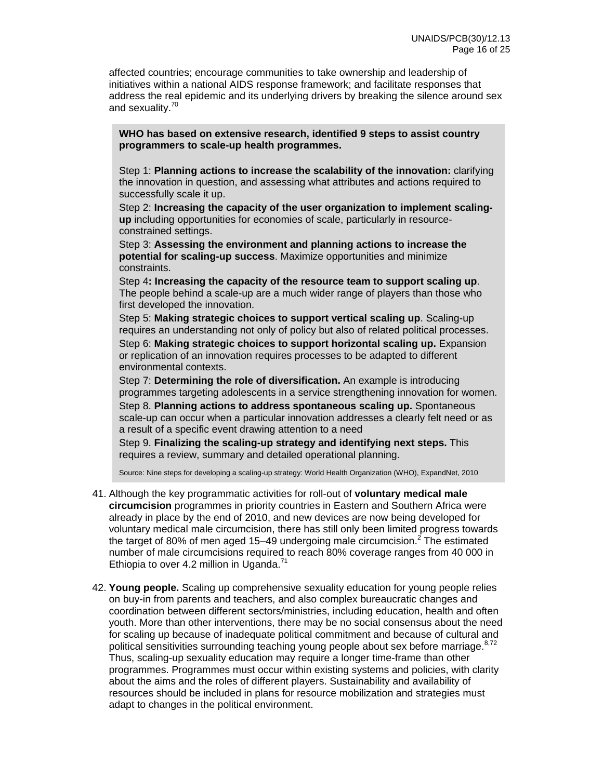affected countries; encourage communities to take ownership and leadership of initiatives within a national AIDS response framework; and facilitate responses that address the real epidemic and its underlying drivers by breaking the silence around sex and sexuality.<sup>70</sup>

**WHO has based on extensive research, identified 9 steps to assist country programmers to scale-up health programmes.** 

Step 1: **Planning actions to increase the scalability of the innovation:** clarifying the innovation in question, and assessing what attributes and actions required to successfully scale it up.

Step 2: **Increasing the capacity of the user organization to implement scalingup** including opportunities for economies of scale, particularly in resourceconstrained settings.

Step 3: **Assessing the environment and planning actions to increase the potential for scaling-up success**. Maximize opportunities and minimize constraints.

Step 4**: Increasing the capacity of the resource team to support scaling up**. The people behind a scale-up are a much wider range of players than those who first developed the innovation.

Step 5: **Making strategic choices to support vertical scaling up**. Scaling-up requires an understanding not only of policy but also of related political processes.

Step 6: **Making strategic choices to support horizontal scaling up.** Expansion or replication of an innovation requires processes to be adapted to different environmental contexts.

Step 7: **Determining the role of diversification.** An example is introducing programmes targeting adolescents in a service strengthening innovation for women. Step 8. **Planning actions to address spontaneous scaling up.** Spontaneous scale-up can occur when a particular innovation addresses a clearly felt need or as a result of a specific event drawing attention to a need

Step 9. **Finalizing the scaling-up strategy and identifying next steps.** This requires a review, summary and detailed operational planning.

Source: Nine steps for developing a scaling-up strategy: World Health Organization (WHO), ExpandNet, 2010

- 41. Although the key programmatic activities for roll-out of **voluntary medical male circumcision** programmes in priority countries in Eastern and Southern Africa were already in place by the end of 2010, and new devices are now being developed for voluntary medical male circumcision, there has still only been limited progress towards the target of 80% of men aged 15–49 undergoing male circumcision.<sup>2</sup> The estimated number of male circumcisions required to reach 80% coverage ranges from 40 000 in Ethiopia to over 4.2 million in Uganda.<sup>71</sup>
- 42. **Young people.** Scaling up comprehensive sexuality education for young people relies on buy-in from parents and teachers, and also complex bureaucratic changes and coordination between different sectors/ministries, including education, health and often youth. More than other interventions, there may be no social consensus about the need for scaling up because of inadequate political commitment and because of cultural and political sensitivities surrounding teaching young people about sex before marriage.<sup>8,72</sup> Thus, scaling-up sexuality education may require a longer time-frame than other programmes. Programmes must occur within existing systems and policies, with clarity about the aims and the roles of different players. Sustainability and availability of resources should be included in plans for resource mobilization and strategies must adapt to changes in the political environment.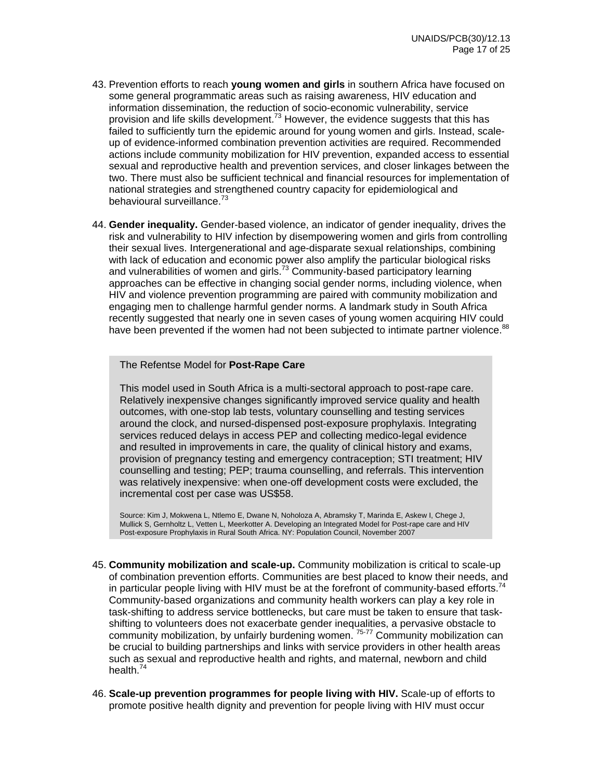- 43. Prevention efforts to reach **young women and girls** in southern Africa have focused on some general programmatic areas such as raising awareness, HIV education and information dissemination, the reduction of socio-economic vulnerability, service provision and life skills development.<sup>73</sup> However, the evidence suggests that this has failed to sufficiently turn the epidemic around for young women and girls. Instead, scaleup of evidence-informed combination prevention activities are required. Recommended actions include community mobilization for HIV prevention, expanded access to essential sexual and reproductive health and prevention services, and closer linkages between the two. There must also be sufficient technical and financial resources for implementation of national strategies and strengthened country capacity for epidemiological and behavioural surveillance.<sup>73</sup>
- 44. **Gender inequality.** Gender-based violence, an indicator of gender inequality, drives the risk and vulnerability to HIV infection by disempowering women and girls from controlling their sexual lives. Intergenerational and age-disparate sexual relationships, combining with lack of education and economic power also amplify the particular biological risks and vulnerabilities of women and girls.<sup>73</sup> Community-based participatory learning approaches can be effective in changing social gender norms, including violence, when HIV and violence prevention programming are paired with community mobilization and engaging men to challenge harmful gender norms. A landmark study in South Africa recently suggested that nearly one in seven cases of young women acquiring HIV could have been prevented if the women had not been subjected to intimate partner violence.<sup>88</sup>

### The Refentse Model for **Post-Rape Care**

This model used in South Africa is a multi-sectoral approach to post-rape care. Relatively inexpensive changes significantly improved service quality and health outcomes, with one-stop lab tests, voluntary counselling and testing services around the clock, and nursed-dispensed post-exposure prophylaxis. Integrating services reduced delays in access PEP and collecting medico-legal evidence and resulted in improvements in care, the quality of clinical history and exams, provision of pregnancy testing and emergency contraception; STI treatment; HIV counselling and testing; PEP; trauma counselling, and referrals. This intervention was relatively inexpensive: when one-off development costs were excluded, the incremental cost per case was US\$58.

Source: Kim J, Mokwena L, Ntlemo E, Dwane N, Noholoza A, Abramsky T, Marinda E, Askew I, Chege J, Mullick S, Gernholtz L, Vetten L, Meerkotter A. Developing an Integrated Model for Post-rape care and HIV Post-exposure Prophylaxis in Rural South Africa. NY: Population Council, November 2007

- 45. **Community mobilization and scale-up.** Community mobilization is critical to scale-up of combination prevention efforts. Communities are best placed to know their needs, and in particular people living with HIV must be at the forefront of community-based efforts.<sup>7</sup> Community-based organizations and community health workers can play a key role in task-shifting to address service bottlenecks, but care must be taken to ensure that taskshifting to volunteers does not exacerbate gender inequalities, a pervasive obstacle to community mobilization, by unfairly burdening women. 75-77 Community mobilization can be crucial to building partnerships and links with service providers in other health areas such as sexual and reproductive health and rights, and maternal, newborn and child health.<sup>74</sup>
- 46. **Scale-up prevention programmes for people living with HIV.** Scale-up of efforts to promote positive health dignity and prevention for people living with HIV must occur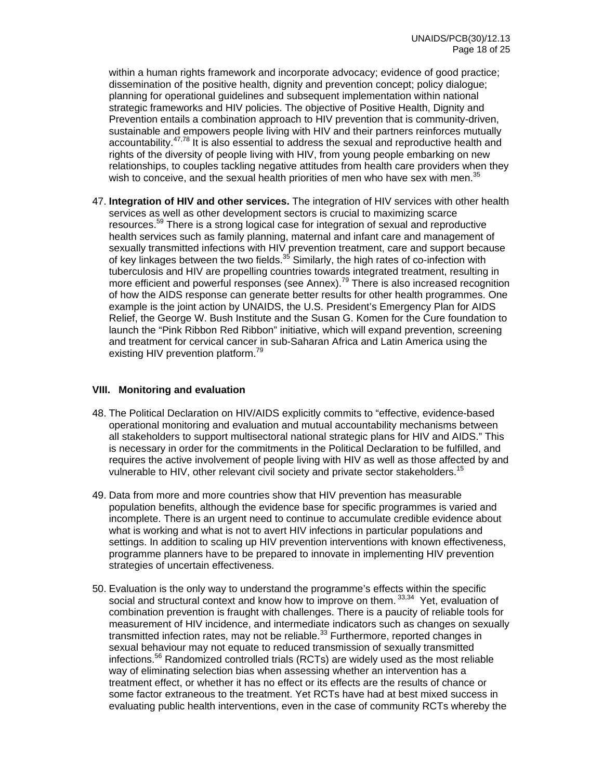within a human rights framework and incorporate advocacy; evidence of good practice; dissemination of the positive health, dignity and prevention concept; policy dialogue; planning for operational guidelines and subsequent implementation within national strategic frameworks and HIV policies. The objective of Positive Health, Dignity and Prevention entails a combination approach to HIV prevention that is community-driven, sustainable and empowers people living with HIV and their partners reinforces mutually accountability.47,78 It is also essential to address the sexual and reproductive health and rights of the diversity of people living with HIV, from young people embarking on new relationships, to couples tackling negative attitudes from health care providers when they wish to conceive, and the sexual health priorities of men who have sex with men.<sup>35</sup>

47. **Integration of HIV and other services.** The integration of HIV services with other health services as well as other development sectors is crucial to maximizing scarce resources.59 There is a strong logical case for integration of sexual and reproductive health services such as family planning, maternal and infant care and management of sexually transmitted infections with HIV prevention treatment, care and support because of key linkages between the two fields.<sup>35</sup> Similarly, the high rates of co-infection with tuberculosis and HIV are propelling countries towards integrated treatment, resulting in more efficient and powerful responses (see Annex).<sup>79</sup> There is also increased recognition of how the AIDS response can generate better results for other health programmes. One example is the joint action by UNAIDS, the U.S. President's Emergency Plan for AIDS Relief, the George W. Bush Institute and the Susan G. Komen for the Cure foundation to launch the "Pink Ribbon Red Ribbon" initiative, which will expand prevention, screening and treatment for cervical cancer in sub-Saharan Africa and Latin America using the existing HIV prevention platform.<sup>79</sup>

## **VIII. Monitoring and evaluation**

- 48. The Political Declaration on HIV/AIDS explicitly commits to "effective, evidence-based operational monitoring and evaluation and mutual accountability mechanisms between all stakeholders to support multisectoral national strategic plans for HIV and AIDS." This is necessary in order for the commitments in the Political Declaration to be fulfilled, and requires the active involvement of people living with HIV as well as those affected by and vulnerable to HIV, other relevant civil society and private sector stakeholders.<sup>15</sup>
- 49. Data from more and more countries show that HIV prevention has measurable population benefits, although the evidence base for specific programmes is varied and incomplete. There is an urgent need to continue to accumulate credible evidence about what is working and what is not to avert HIV infections in particular populations and settings. In addition to scaling up HIV prevention interventions with known effectiveness, programme planners have to be prepared to innovate in implementing HIV prevention strategies of uncertain effectiveness.
- 50. Evaluation is the only way to understand the programme's effects within the specific social and structural context and know how to improve on them. 33,34 Yet, evaluation of combination prevention is fraught with challenges. There is a paucity of reliable tools for measurement of HIV incidence, and intermediate indicators such as changes on sexually transmitted infection rates, may not be reliable. $33$  Furthermore, reported changes in sexual behaviour may not equate to reduced transmission of sexually transmitted infections.56 Randomized controlled trials (RCTs) are widely used as the most reliable way of eliminating selection bias when assessing whether an intervention has a treatment effect, or whether it has no effect or its effects are the results of chance or some factor extraneous to the treatment. Yet RCTs have had at best mixed success in evaluating public health interventions, even in the case of community RCTs whereby the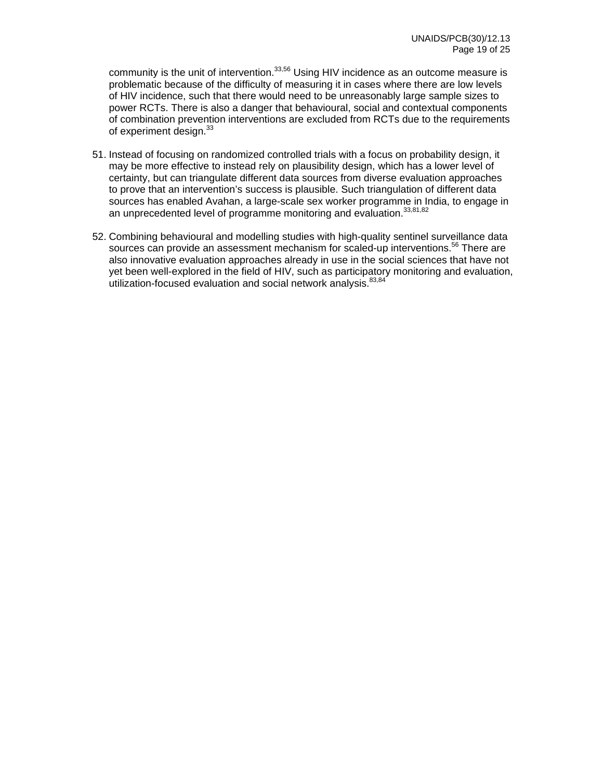community is the unit of intervention.<sup>33,56</sup> Using HIV incidence as an outcome measure is problematic because of the difficulty of measuring it in cases where there are low levels of HIV incidence, such that there would need to be unreasonably large sample sizes to power RCTs. There is also a danger that behavioural, social and contextual components of combination prevention interventions are excluded from RCTs due to the requirements of experiment design.<sup>33</sup>

- 51. Instead of focusing on randomized controlled trials with a focus on probability design, it may be more effective to instead rely on plausibility design, which has a lower level of certainty, but can triangulate different data sources from diverse evaluation approaches to prove that an intervention's success is plausible. Such triangulation of different data sources has enabled Avahan, a large-scale sex worker programme in India, to engage in an unprecedented level of programme monitoring and evaluation. 33,81,82
- 52. Combining behavioural and modelling studies with high-quality sentinel surveillance data sources can provide an assessment mechanism for scaled-up interventions.<sup>56</sup> There are also innovative evaluation approaches already in use in the social sciences that have not yet been well-explored in the field of HIV, such as participatory monitoring and evaluation, utilization-focused evaluation and social network analysis. 83,84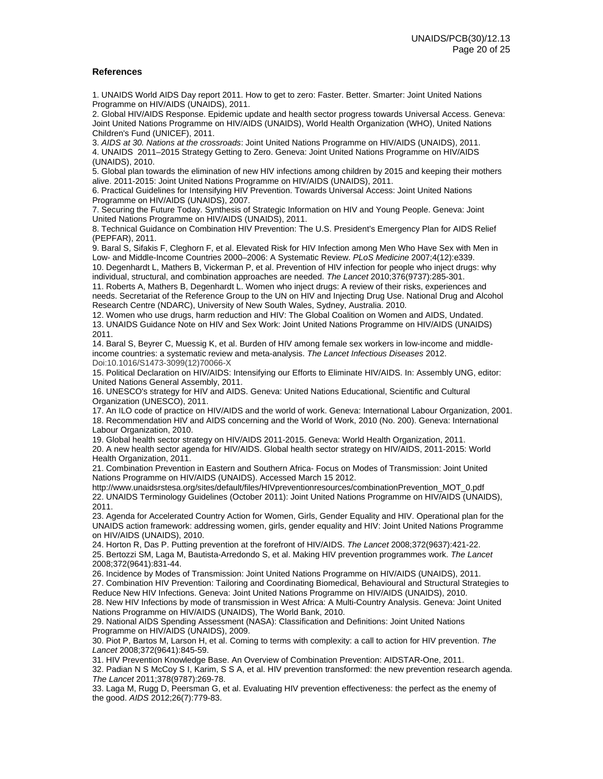#### **References**

1. UNAIDS World AIDS Day report 2011. How to get to zero: Faster. Better. Smarter: Joint United Nations Programme on HIV/AIDS (UNAIDS), 2011.

2. Global HIV/AIDS Response. Epidemic update and health sector progress towards Universal Access. Geneva: Joint United Nations Programme on HIV/AIDS (UNAIDS), World Health Organization (WHO), United Nations Children's Fund (UNICEF), 2011.

3. *AIDS at 30. Nations at the crossroads*: Joint United Nations Programme on HIV/AIDS (UNAIDS), 2011. 4. UNAIDS 2011–2015 Strategy Getting to Zero. Geneva: Joint United Nations Programme on HIV/AIDS (UNAIDS), 2010.

5. Global plan towards the elimination of new HIV infections among children by 2015 and keeping their mothers alive. 2011-2015: Joint United Nations Programme on HIV/AIDS (UNAIDS), 2011.

6. Practical Guidelines for Intensifying HIV Prevention. Towards Universal Access: Joint United Nations Programme on HIV/AIDS (UNAIDS), 2007.

7. Securing the Future Today. Synthesis of Strategic Information on HIV and Young People. Geneva: Joint United Nations Programme on HIV/AIDS (UNAIDS), 2011.

8. Technical Guidance on Combination HIV Prevention: The U.S. President's Emergency Plan for AIDS Relief (PEPFAR), 2011.

9. Baral S, Sifakis F, Cleghorn F, et al. Elevated Risk for HIV Infection among Men Who Have Sex with Men in Low- and Middle-Income Countries 2000–2006: A Systematic Review. *PLoS Medicine* 2007;4(12):e339.

10. Degenhardt L, Mathers B, Vickerman P, et al. Prevention of HIV infection for people who inject drugs: why individual, structural, and combination approaches are needed. *The Lancet* 2010;376(9737):285-301.

11. Roberts A, Mathers B, Degenhardt L. Women who inject drugs: A review of their risks, experiences and needs. Secretariat of the Reference Group to the UN on HIV and Injecting Drug Use. National Drug and Alcohol Research Centre (NDARC), University of New South Wales, Sydney, Australia. 2010.

12. Women who use drugs, harm reduction and HIV: The Global Coalition on Women and AIDS, Undated. 13. UNAIDS Guidance Note on HIV and Sex Work: Joint United Nations Programme on HIV/AIDS (UNAIDS) 2011.

14. Baral S, Beyrer C, Muessig K, et al. Burden of HIV among female sex workers in low-income and middleincome countries: a systematic review and meta-analysis. *The Lancet Infectious Diseases* 2012. Doi:10.1016/S1473-3099(12)70066-X

15. Political Declaration on HIV/AIDS: Intensifying our Efforts to Eliminate HIV/AIDS. In: Assembly UNG, editor: United Nations General Assembly, 2011.

16. UNESCO's strategy for HIV and AIDS. Geneva: United Nations Educational, Scientific and Cultural Organization (UNESCO), 2011.

17. An ILO code of practice on HIV/AIDS and the world of work. Geneva: International Labour Organization, 2001. 18. Recommendation HIV and AIDS concerning and the World of Work, 2010 (No. 200). Geneva: International Labour Organization, 2010.

19. Global health sector strategy on HIV/AIDS 2011-2015. Geneva: World Health Organization, 2011. 20. A new health sector agenda for HIV/AIDS. Global health sector strategy on HIV/AIDS, 2011-2015: World

Health Organization, 2011.

21. Combination Prevention in Eastern and Southern Africa- Focus on Modes of Transmission: Joint United Nations Programme on HIV/AIDS (UNAIDS). Accessed March 15 2012.

http://www.unaidsrstesa.org/sites/default/files/HIVpreventionresources/combinationPrevention\_MOT\_0.pdf 22. UNAIDS Terminology Guidelines (October 2011): Joint United Nations Programme on HIV/AIDS (UNAIDS), 2011.

23. Agenda for Accelerated Country Action for Women, Girls, Gender Equality and HIV. Operational plan for the UNAIDS action framework: addressing women, girls, gender equality and HIV: Joint United Nations Programme on HIV/AIDS (UNAIDS), 2010.

24. Horton R, Das P. Putting prevention at the forefront of HIV/AIDS. *The Lancet* 2008;372(9637):421-22. 25. Bertozzi SM, Laga M, Bautista-Arredondo S, et al. Making HIV prevention programmes work. *The Lancet* 2008;372(9641):831-44.

26. Incidence by Modes of Transmission: Joint United Nations Programme on HIV/AIDS (UNAIDS), 2011.

27. Combination HIV Prevention: Tailoring and Coordinating Biomedical, Behavioural and Structural Strategies to Reduce New HIV Infections. Geneva: Joint United Nations Programme on HIV/AIDS (UNAIDS), 2010.

28. New HIV Infections by mode of transmission in West Africa: A Multi-Country Analysis. Geneva: Joint United Nations Programme on HIV/AIDS (UNAIDS), The World Bank, 2010.

29. National AIDS Spending Assessment (NASA): Classification and Definitions: Joint United Nations Programme on HIV/AIDS (UNAIDS), 2009.

30. Piot P, Bartos M, Larson H, et al. Coming to terms with complexity: a call to action for HIV prevention. *The Lancet* 2008;372(9641):845-59.

31. HIV Prevention Knowledge Base. An Overview of Combination Prevention: AIDSTAR-One, 2011.

32. Padian N S McCoy S I, Karim, S S A, et al. HIV prevention transformed: the new prevention research agenda. *The Lancet* 2011;378(9787):269-78.

33. Laga M, Rugg D, Peersman G, et al. Evaluating HIV prevention effectiveness: the perfect as the enemy of the good. *AIDS* 2012;26(7):779-83.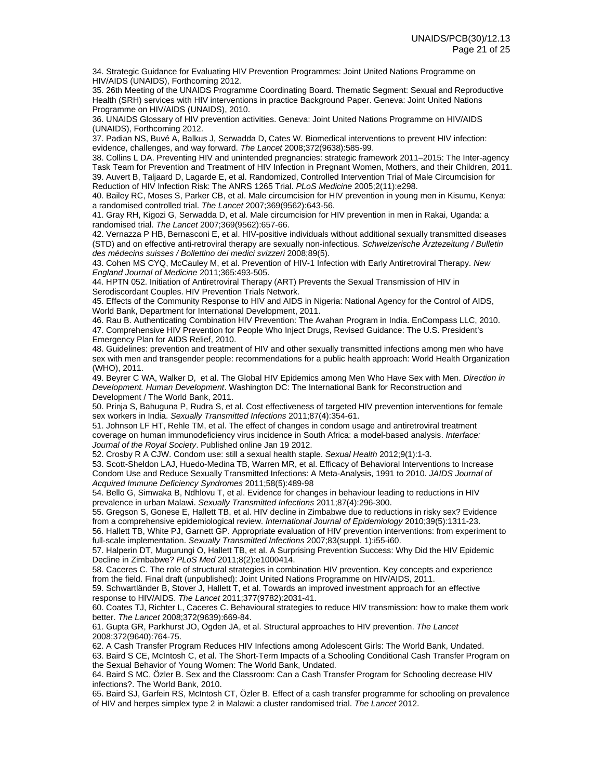34. Strategic Guidance for Evaluating HIV Prevention Programmes: Joint United Nations Programme on HIV/AIDS (UNAIDS), Forthcoming 2012.

35. 26th Meeting of the UNAIDS Programme Coordinating Board. Thematic Segment: Sexual and Reproductive Health (SRH) services with HIV interventions in practice Background Paper. Geneva: Joint United Nations Programme on HIV/AIDS (UNAIDS), 2010.

36. UNAIDS Glossary of HIV prevention activities. Geneva: Joint United Nations Programme on HIV/AIDS (UNAIDS), Forthcoming 2012.

37. Padian NS, Buvé A, Balkus J, Serwadda D, Cates W. Biomedical interventions to prevent HIV infection: evidence, challenges, and way forward. *The Lancet* 2008;372(9638):585-99.

38. Collins L DA. Preventing HIV and unintended pregnancies: strategic framework 2011–2015: The Inter-agency Task Team for Prevention and Treatment of HIV Infection in Pregnant Women, Mothers, and their Children, 2011. 39. Auvert B, Taljaard D, Lagarde E, et al. Randomized, Controlled Intervention Trial of Male Circumcision for Reduction of HIV Infection Risk: The ANRS 1265 Trial. *PLoS Medicine* 2005;2(11):e298.

40. Bailey RC, Moses S, Parker CB, et al. Male circumcision for HIV prevention in young men in Kisumu, Kenya: a randomised controlled trial. *The Lancet* 2007;369(9562):643-56.

41. Gray RH, Kigozi G, Serwadda D, et al. Male circumcision for HIV prevention in men in Rakai, Uganda: a randomised trial. *The Lancet* 2007;369(9562):657-66.

42. Vernazza P HB, Bernasconi E, et al. HIV-positive individuals without additional sexually transmitted diseases (STD) and on effective anti-retroviral therapy are sexually non-infectious. *Schweizerische Ärztezeitung / Bulletin des médecins suisses / Bollettino dei medici svizzeri* 2008;89(5).

43. Cohen MS CYQ, McCauley M, et al. Prevention of HIV-1 Infection with Early Antiretroviral Therapy. *New England Journal of Medicine* 2011;365:493-505.

44. HPTN 052. Initiation of Antiretroviral Therapy (ART) Prevents the Sexual Transmission of HIV in Serodiscordant Couples. HIV Prevention Trials Network.

45. Effects of the Community Response to HIV and AIDS in Nigeria: National Agency for the Control of AIDS, World Bank, Department for International Development, 2011.

46. Rau B. Authenticating Combination HIV Prevention: The Avahan Program in India. EnCompass LLC, 2010. 47. Comprehensive HIV Prevention for People Who Inject Drugs, Revised Guidance: The U.S. President's Emergency Plan for AIDS Relief, 2010.

48. Guidelines: prevention and treatment of HIV and other sexually transmitted infections among men who have sex with men and transgender people: recommendations for a public health approach: World Health Organization (WHO), 2011.

49. Beyrer C WA, Walker D, et al. The Global HIV Epidemics among Men Who Have Sex with Men. *Direction in Development. Human Development*. Washington DC: The International Bank for Reconstruction and Development / The World Bank, 2011.

50. Prinja S, Bahuguna P, Rudra S, et al. Cost effectiveness of targeted HIV prevention interventions for female sex workers in India. *Sexually Transmitted Infections* 2011;87(4):354-61.

51. Johnson LF HT, Rehle TM, et al. The effect of changes in condom usage and antiretroviral treatment coverage on human immunodeficiency virus incidence in South Africa: a model-based analysis. *Interface: Journal of the Royal Society*. Published online Jan 19 2012.

52. Crosby R A CJW. Condom use: still a sexual health staple. *Sexual Health* 2012;9(1):1-3.

53. Scott-Sheldon LAJ, Huedo-Medina TB, Warren MR, et al. Efficacy of Behavioral Interventions to Increase Condom Use and Reduce Sexually Transmitted Infections: A Meta-Analysis, 1991 to 2010. *JAIDS Journal of Acquired Immune Deficiency Syndromes* 2011;58(5):489-98

54. Bello G, Simwaka B, Ndhlovu T, et al. Evidence for changes in behaviour leading to reductions in HIV prevalence in urban Malawi. *Sexually Transmitted Infections* 2011;87(4):296-300.

55. Gregson S, Gonese E, Hallett TB, et al. HIV decline in Zimbabwe due to reductions in risky sex? Evidence from a comprehensive epidemiological review. *International Journal of Epidemiology* 2010;39(5):1311-23.

56. Hallett TB, White PJ, Garnett GP. Appropriate evaluation of HIV prevention interventions: from experiment to full-scale implementation. *Sexually Transmitted Infections* 2007;83(suppl. 1):i55-i60.

57. Halperin DT, Mugurungi O, Hallett TB, et al. A Surprising Prevention Success: Why Did the HIV Epidemic Decline in Zimbabwe? *PLoS Med* 2011;8(2):e1000414.

58. Caceres C. The role of structural strategies in combination HIV prevention. Key concepts and experience from the field. Final draft (unpublished): Joint United Nations Programme on HIV/AIDS, 2011.

59. Schwartländer B, Stover J, Hallett T, et al. Towards an improved investment approach for an effective response to HIV/AIDS. *The Lancet* 2011;377(9782):2031-41.

60. Coates TJ, Richter L, Caceres C. Behavioural strategies to reduce HIV transmission: how to make them work better. *The Lancet* 2008;372(9639):669-84.

61. Gupta GR, Parkhurst JO, Ogden JA, et al. Structural approaches to HIV prevention. *The Lancet* 2008;372(9640):764-75.

62. A Cash Transfer Program Reduces HIV Infections among Adolescent Girls: The World Bank, Undated. 63. Baird S CE, McIntosh C, et al. The Short-Term Impacts of a Schooling Conditional Cash Transfer Program on the Sexual Behavior of Young Women: The World Bank, Undated.

64. Baird S MC, Özler B. Sex and the Classroom: Can a Cash Transfer Program for Schooling decrease HIV infections?. The World Bank, 2010.

65. Baird SJ, Garfein RS, McIntosh CT, Özler B. Effect of a cash transfer programme for schooling on prevalence of HIV and herpes simplex type 2 in Malawi: a cluster randomised trial. *The Lancet* 2012.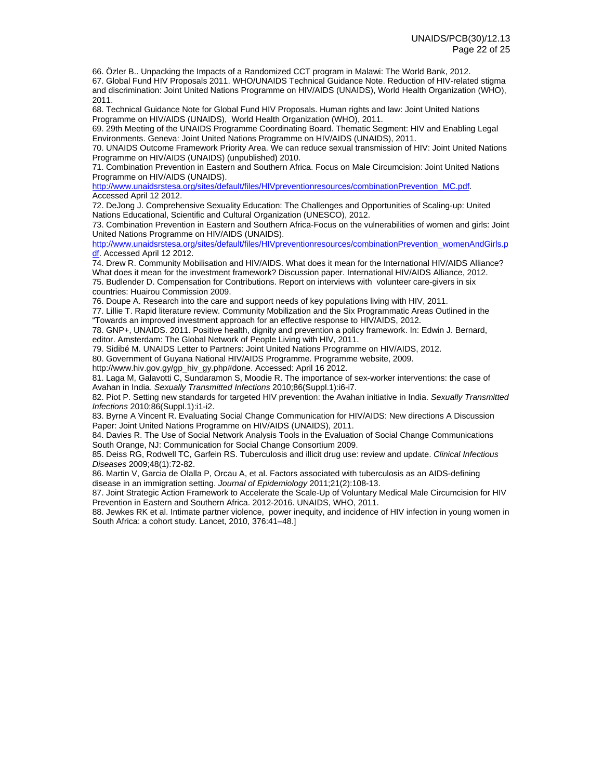66. Özler B.. Unpacking the Impacts of a Randomized CCT program in Malawi: The World Bank, 2012. 67. Global Fund HIV Proposals 2011. WHO/UNAIDS Technical Guidance Note. Reduction of HIV-related stigma and discrimination: Joint United Nations Programme on HIV/AIDS (UNAIDS), World Health Organization (WHO), 2011.

68. Technical Guidance Note for Global Fund HIV Proposals. Human rights and law: Joint United Nations Programme on HIV/AIDS (UNAIDS), World Health Organization (WHO), 2011.

69. 29th Meeting of the UNAIDS Programme Coordinating Board. Thematic Segment: HIV and Enabling Legal Environments. Geneva: Joint United Nations Programme on HIV/AIDS (UNAIDS), 2011.

70. UNAIDS Outcome Framework Priority Area. We can reduce sexual transmission of HIV: Joint United Nations Programme on HIV/AIDS (UNAIDS) (unpublished) 2010.

71. Combination Prevention in Eastern and Southern Africa. Focus on Male Circumcision: Joint United Nations Programme on HIV/AIDS (UNAIDS).

http://www.unaidsrstesa.org/sites/default/files/HIVpreventionresources/combinationPrevention\_MC.pdf. Accessed April 12 2012.

72. DeJong J. Comprehensive Sexuality Education: The Challenges and Opportunities of Scaling-up: United Nations Educational, Scientific and Cultural Organization (UNESCO), 2012.

73. Combination Prevention in Eastern and Southern Africa-Focus on the vulnerabilities of women and girls: Joint United Nations Programme on HIV/AIDS (UNAIDS).

http://www.unaidsrstesa.org/sites/default/files/HIVpreventionresources/combinationPrevention\_womenAndGirls.p df. Accessed April 12 2012.

74. Drew R. Community Mobilisation and HIV/AIDS. What does it mean for the International HIV/AIDS Alliance? What does it mean for the investment framework? Discussion paper. International HIV/AIDS Alliance, 2012. 75. Budlender D. Compensation for Contributions. Report on interviews with volunteer care-givers in six countries: Huairou Commission 2009.

76. Doupe A. Research into the care and support needs of key populations living with HIV, 2011.

77. Lillie T. Rapid literature review. Community Mobilization and the Six Programmatic Areas Outlined in the "Towards an improved investment approach for an effective response to HIV/AIDS, 2012.

78. GNP+, UNAIDS. 2011. Positive health, dignity and prevention a policy framework. In: Edwin J. Bernard, editor. Amsterdam: The Global Network of People Living with HIV, 2011.

79. Sidibé M. UNAIDS Letter to Partners: Joint United Nations Programme on HIV/AIDS, 2012.

80. Government of Guyana National HIV/AIDS Programme. Programme website, 2009.

http://www.hiv.gov.gy/gp\_hiv\_gy.php#done. Accessed: April 16 2012.

81. Laga M, Galavotti C, Sundaramon S, Moodie R. The importance of sex-worker interventions: the case of Avahan in India. *Sexually Transmitted Infections* 2010;86(Suppl.1):i6-i7.

82. Piot P. Setting new standards for targeted HIV prevention: the Avahan initiative in India. *Sexually Transmitted Infections* 2010;86(Suppl.1):i1-i2.

83. Byrne A Vincent R. Evaluating Social Change Communication for HIV/AIDS: New directions A Discussion Paper: Joint United Nations Programme on HIV/AIDS (UNAIDS), 2011.

84. Davies R. The Use of Social Network Analysis Tools in the Evaluation of Social Change Communications South Orange, NJ: Communication for Social Change Consortium 2009.

85. Deiss RG, Rodwell TC, Garfein RS. Tuberculosis and illicit drug use: review and update. *Clinical Infectious Diseases* 2009;48(1):72-82.

86. Martin V, Garcia de Olalla P, Orcau A, et al. Factors associated with tuberculosis as an AIDS-defining disease in an immigration setting. *Journal of Epidemiology* 2011;21(2):108-13.

87. Joint Strategic Action Framework to Accelerate the Scale-Up of Voluntary Medical Male Circumcision for HIV Prevention in Eastern and Southern Africa. 2012-2016. UNAIDS, WHO, 2011.

88. Jewkes RK et al. Intimate partner violence, power inequity, and incidence of HIV infection in young women in South Africa: a cohort study. Lancet, 2010, 376:41–48.]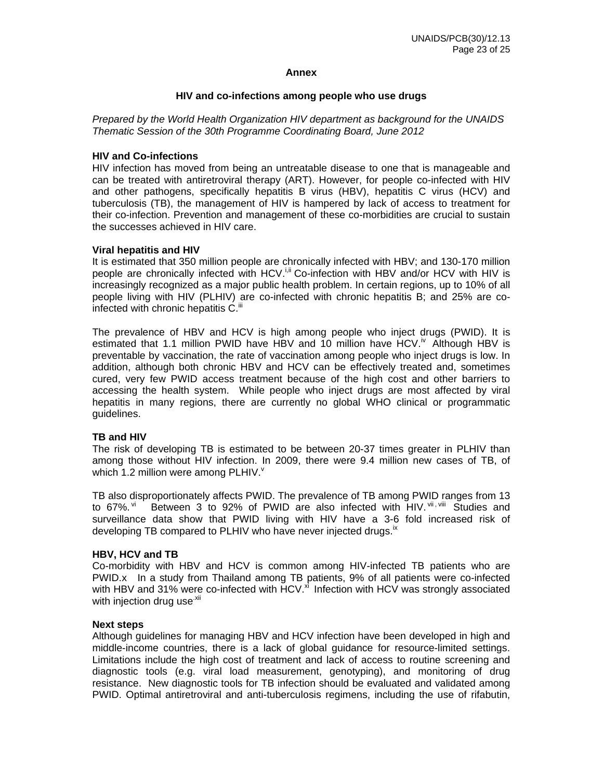### **Annex**

### **HIV and co-infections among people who use drugs**

*Prepared by the World Health Organization HIV department as background for the UNAIDS Thematic Session of the 30th Programme Coordinating Board, June 2012* 

### **HIV and Co-infections**

HIV infection has moved from being an untreatable disease to one that is manageable and can be treated with antiretroviral therapy (ART). However, for people co-infected with HIV and other pathogens, specifically hepatitis B virus (HBV), hepatitis C virus (HCV) and tuberculosis (TB), the management of HIV is hampered by lack of access to treatment for their co-infection. Prevention and management of these co-morbidities are crucial to sustain the successes achieved in HIV care.

### **Viral hepatitis and HIV**

It is estimated that 350 million people are chronically infected with HBV; and 130-170 million people are chronically infected with  $HCV^{i,i}$  Co-infection with HBV and/or HCV with HIV is increasingly recognized as a major public health problem. In certain regions, up to 10% of all people living with HIV (PLHIV) are co-infected with chronic hepatitis B; and 25% are coinfected with chronic hepatitis C.<sup>iii</sup>

The prevalence of HBV and HCV is high among people who inject drugs (PWID). It is estimated that 1.1 million PWID have HBV and 10 million have HCV. $\dot{N}$  Although HBV is preventable by vaccination, the rate of vaccination among people who inject drugs is low. In addition, although both chronic HBV and HCV can be effectively treated and, sometimes cured, very few PWID access treatment because of the high cost and other barriers to accessing the health system. While people who inject drugs are most affected by viral hepatitis in many regions, there are currently no global WHO clinical or programmatic guidelines.

### **TB and HIV**

The risk of developing TB is estimated to be between 20-37 times greater in PLHIV than among those without HIV infection. In 2009, there were 9.4 million new cases of TB. of which 1.2 million were among PLHIV. $\frac{v}{x}$ 

TB also disproportionately affects PWID. The prevalence of TB among PWID ranges from 13 to 67%. <sup>Vi</sup> Between 3 to 92% of PWID are also infected with HIV. Villet Studies and surveillance data show that PWID living with HIV have a 3-6 fold increased risk of developing TB compared to PLHIV who have never injected drugs.<sup>ix</sup>

### **HBV, HCV and TB**

Co-morbidity with HBV and HCV is common among HIV-infected TB patients who are PWID.x In a study from Thailand among TB patients, 9% of all patients were co-infected with HBV and 31% were co-infected with HCV. $^{\prime\prime}$  Infection with HCV was strongly associated with injection drug use<sup>.xii</sup>

#### **Next steps**

Although guidelines for managing HBV and HCV infection have been developed in high and middle-income countries, there is a lack of global guidance for resource-limited settings. Limitations include the high cost of treatment and lack of access to routine screening and diagnostic tools (e.g. viral load measurement, genotyping), and monitoring of drug resistance. New diagnostic tools for TB infection should be evaluated and validated among PWID. Optimal antiretroviral and anti-tuberculosis regimens, including the use of rifabutin,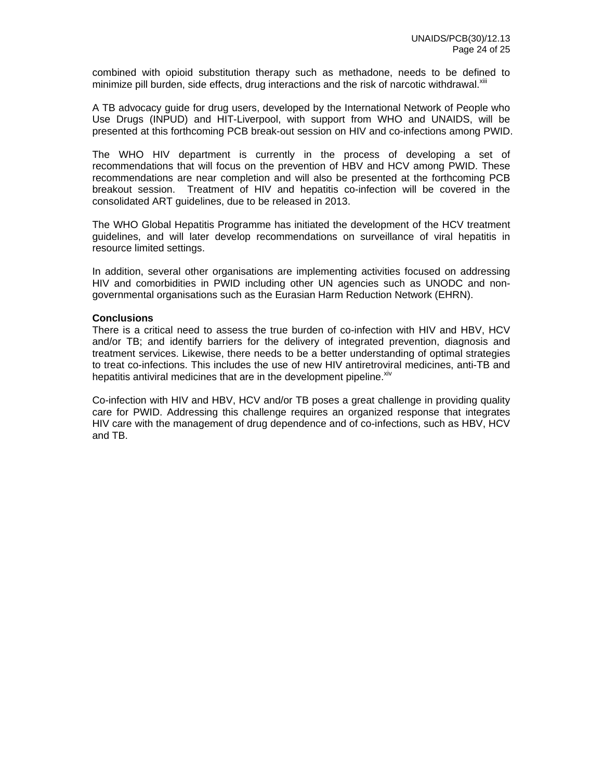combined with opioid substitution therapy such as methadone, needs to be defined to minimize pill burden, side effects, drug interactions and the risk of narcotic withdrawal. $x$ <sup>iii</sup>

A TB advocacy guide for drug users, developed by the International Network of People who Use Drugs (INPUD) and HIT-Liverpool, with support from WHO and UNAIDS, will be presented at this forthcoming PCB break-out session on HIV and co-infections among PWID.

The WHO HIV department is currently in the process of developing a set of recommendations that will focus on the prevention of HBV and HCV among PWID. These recommendations are near completion and will also be presented at the forthcoming PCB breakout session. Treatment of HIV and hepatitis co-infection will be covered in the consolidated ART guidelines, due to be released in 2013.

The WHO Global Hepatitis Programme has initiated the development of the HCV treatment guidelines, and will later develop recommendations on surveillance of viral hepatitis in resource limited settings.

In addition, several other organisations are implementing activities focused on addressing HIV and comorbidities in PWID including other UN agencies such as UNODC and nongovernmental organisations such as the Eurasian Harm Reduction Network (EHRN).

### **Conclusions**

There is a critical need to assess the true burden of co-infection with HIV and HBV, HCV and/or TB; and identify barriers for the delivery of integrated prevention, diagnosis and treatment services. Likewise, there needs to be a better understanding of optimal strategies to treat co-infections. This includes the use of new HIV antiretroviral medicines, anti-TB and hepatitis antiviral medicines that are in the development pipeline. $x^2$ 

Co-infection with HIV and HBV, HCV and/or TB poses a great challenge in providing quality care for PWID. Addressing this challenge requires an organized response that integrates HIV care with the management of drug dependence and of co-infections, such as HBV, HCV and TB.